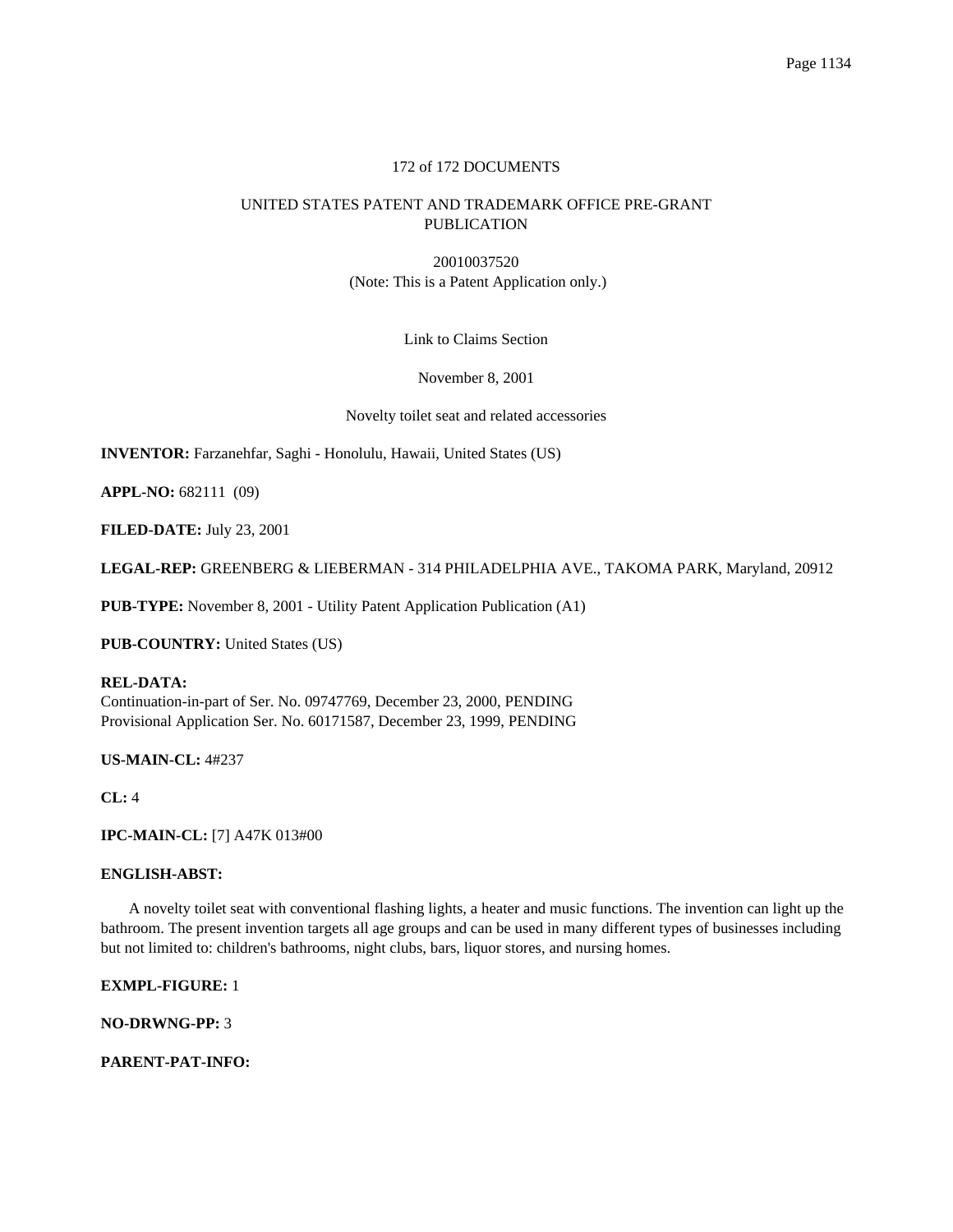# 172 of 172 DOCUMENTS

# UNITED STATES PATENT AND TRADEMARK OFFICE PRE-GRANT PUBLICATION

20010037520 (Note: This is a Patent Application only.)

Link to Claims Section

November 8, 2001

Novelty toilet seat and related accessories

**INVENTOR:** Farzanehfar, Saghi - Honolulu, Hawaii, United States (US)

**APPL-NO:** 682111 (09)

**FILED-DATE:** July 23, 2001

**LEGAL-REP:** GREENBERG & LIEBERMAN - 314 PHILADELPHIA AVE., TAKOMA PARK, Maryland, 20912

**PUB-TYPE:** November 8, 2001 - Utility Patent Application Publication (A1)

**PUB-COUNTRY:** United States (US)

## **REL-DATA:**

Continuation-in-part of Ser. No. 09747769, December 23, 2000, PENDING Provisional Application Ser. No. 60171587, December 23, 1999, PENDING

**US-MAIN-CL:** 4#237

**CL:** 4

**IPC-MAIN-CL:** [7] A47K 013#00

## **ENGLISH-ABST:**

A novelty toilet seat with conventional flashing lights, a heater and music functions. The invention can light up the bathroom. The present invention targets all age groups and can be used in many different types of businesses including but not limited to: children's bathrooms, night clubs, bars, liquor stores, and nursing homes.

**EXMPL-FIGURE:** 1

**NO-DRWNG-PP:** 3

**PARENT-PAT-INFO:**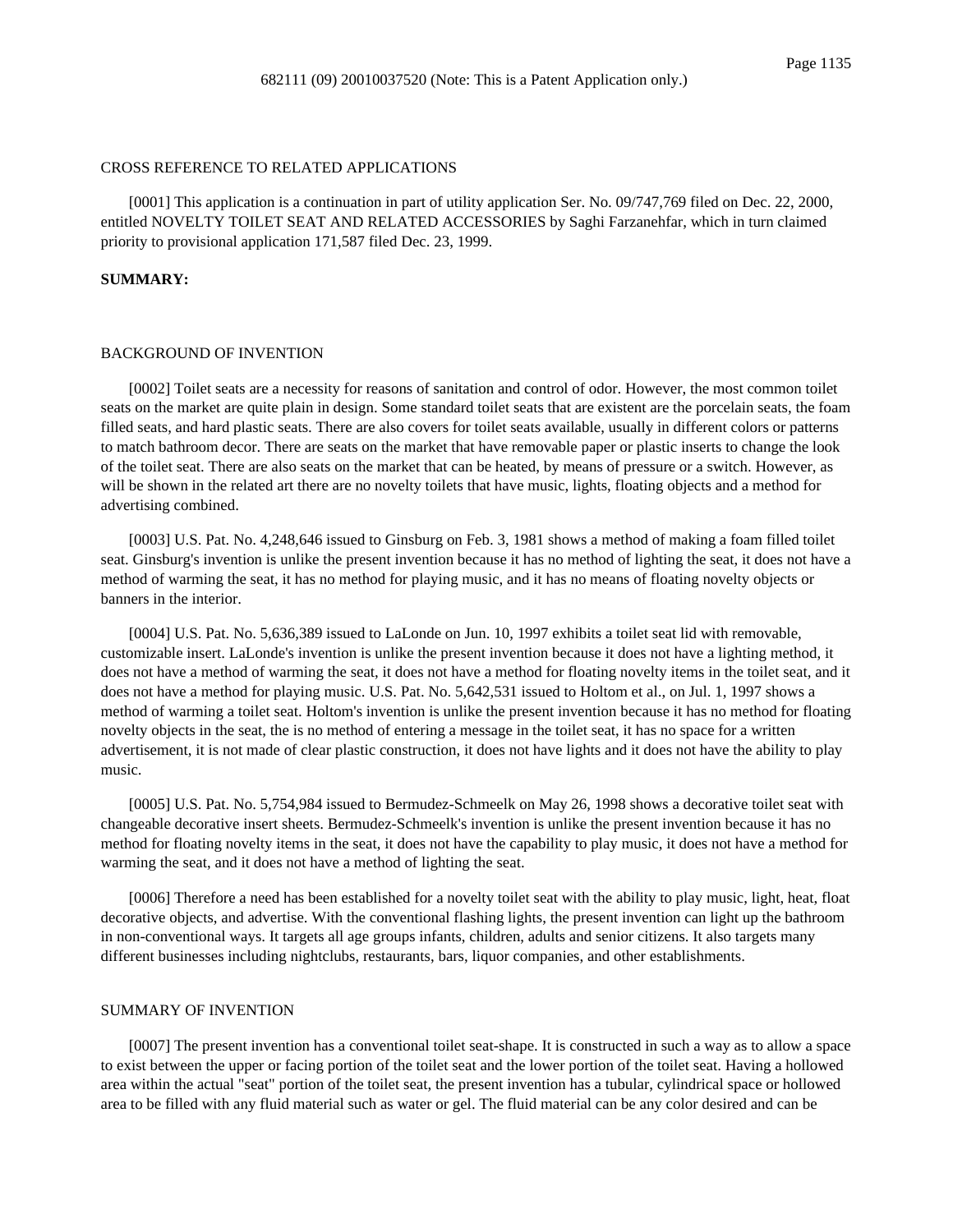### CROSS REFERENCE TO RELATED APPLICATIONS

[0001] This application is a continuation in part of utility application Ser. No. 09/747,769 filed on Dec. 22, 2000, entitled NOVELTY TOILET SEAT AND RELATED ACCESSORIES by Saghi Farzanehfar, which in turn claimed priority to provisional application 171,587 filed Dec. 23, 1999.

### **SUMMARY:**

#### BACKGROUND OF INVENTION

[0002] Toilet seats are a necessity for reasons of sanitation and control of odor. However, the most common toilet seats on the market are quite plain in design. Some standard toilet seats that are existent are the porcelain seats, the foam filled seats, and hard plastic seats. There are also covers for toilet seats available, usually in different colors or patterns to match bathroom decor. There are seats on the market that have removable paper or plastic inserts to change the look of the toilet seat. There are also seats on the market that can be heated, by means of pressure or a switch. However, as will be shown in the related art there are no novelty toilets that have music, lights, floating objects and a method for advertising combined.

[0003] U.S. Pat. No. 4,248,646 issued to Ginsburg on Feb. 3, 1981 shows a method of making a foam filled toilet seat. Ginsburg's invention is unlike the present invention because it has no method of lighting the seat, it does not have a method of warming the seat, it has no method for playing music, and it has no means of floating novelty objects or banners in the interior.

[0004] U.S. Pat. No. 5,636,389 issued to LaLonde on Jun. 10, 1997 exhibits a toilet seat lid with removable, customizable insert. LaLonde's invention is unlike the present invention because it does not have a lighting method, it does not have a method of warming the seat, it does not have a method for floating novelty items in the toilet seat, and it does not have a method for playing music. U.S. Pat. No. 5,642,531 issued to Holtom et al., on Jul. 1, 1997 shows a method of warming a toilet seat. Holtom's invention is unlike the present invention because it has no method for floating novelty objects in the seat, the is no method of entering a message in the toilet seat, it has no space for a written advertisement, it is not made of clear plastic construction, it does not have lights and it does not have the ability to play music.

[0005] U.S. Pat. No. 5,754,984 issued to Bermudez-Schmeelk on May 26, 1998 shows a decorative toilet seat with changeable decorative insert sheets. Bermudez-Schmeelk's invention is unlike the present invention because it has no method for floating novelty items in the seat, it does not have the capability to play music, it does not have a method for warming the seat, and it does not have a method of lighting the seat.

[0006] Therefore a need has been established for a novelty toilet seat with the ability to play music, light, heat, float decorative objects, and advertise. With the conventional flashing lights, the present invention can light up the bathroom in non-conventional ways. It targets all age groups infants, children, adults and senior citizens. It also targets many different businesses including nightclubs, restaurants, bars, liquor companies, and other establishments.

## SUMMARY OF INVENTION

[0007] The present invention has a conventional toilet seat-shape. It is constructed in such a way as to allow a space to exist between the upper or facing portion of the toilet seat and the lower portion of the toilet seat. Having a hollowed area within the actual "seat" portion of the toilet seat, the present invention has a tubular, cylindrical space or hollowed area to be filled with any fluid material such as water or gel. The fluid material can be any color desired and can be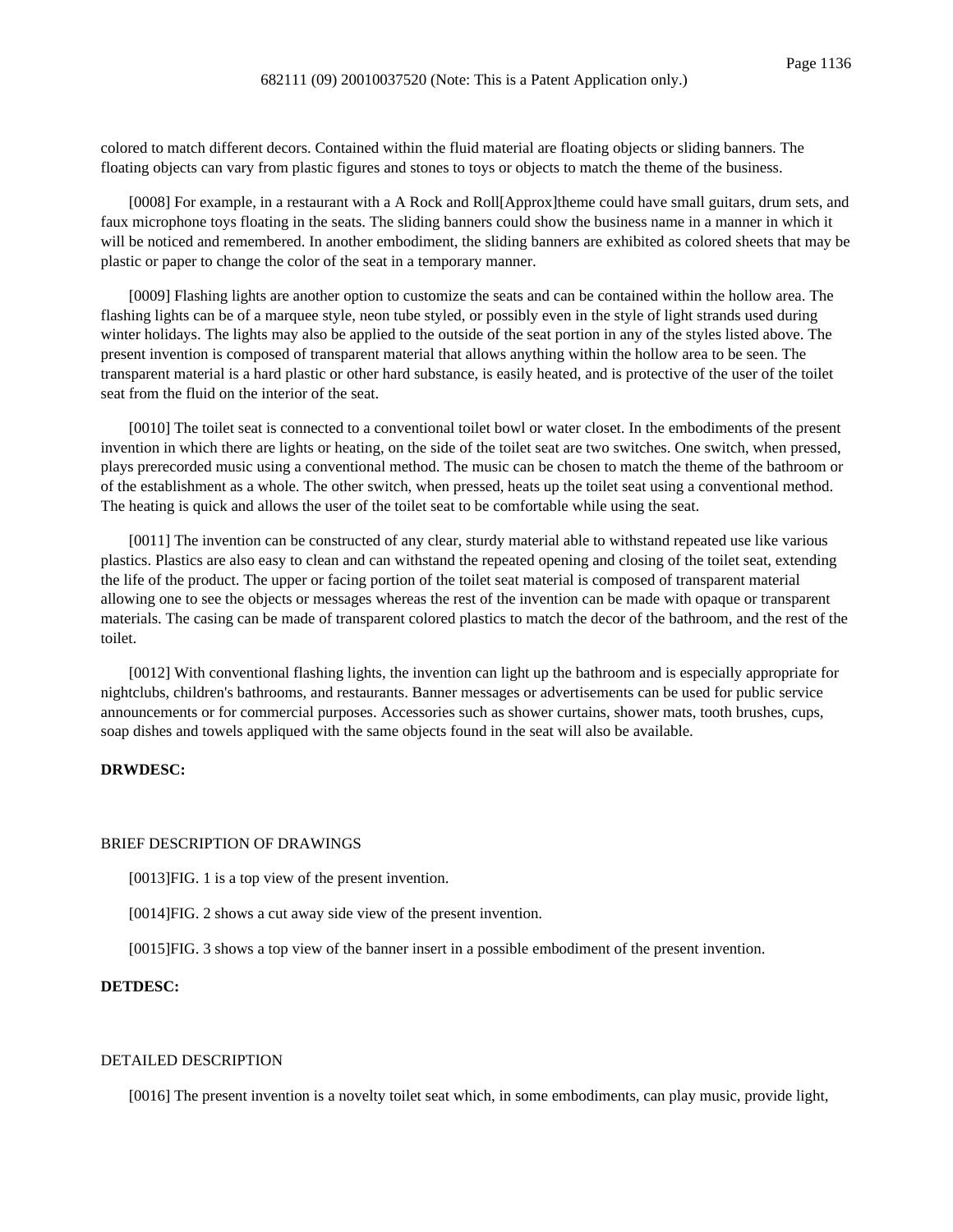colored to match different decors. Contained within the fluid material are floating objects or sliding banners. The floating objects can vary from plastic figures and stones to toys or objects to match the theme of the business.

[0008] For example, in a restaurant with a A Rock and Roll[Approx]theme could have small guitars, drum sets, and faux microphone toys floating in the seats. The sliding banners could show the business name in a manner in which it will be noticed and remembered. In another embodiment, the sliding banners are exhibited as colored sheets that may be plastic or paper to change the color of the seat in a temporary manner.

[0009] Flashing lights are another option to customize the seats and can be contained within the hollow area. The flashing lights can be of a marquee style, neon tube styled, or possibly even in the style of light strands used during winter holidays. The lights may also be applied to the outside of the seat portion in any of the styles listed above. The present invention is composed of transparent material that allows anything within the hollow area to be seen. The transparent material is a hard plastic or other hard substance, is easily heated, and is protective of the user of the toilet seat from the fluid on the interior of the seat.

[0010] The toilet seat is connected to a conventional toilet bowl or water closet. In the embodiments of the present invention in which there are lights or heating, on the side of the toilet seat are two switches. One switch, when pressed, plays prerecorded music using a conventional method. The music can be chosen to match the theme of the bathroom or of the establishment as a whole. The other switch, when pressed, heats up the toilet seat using a conventional method. The heating is quick and allows the user of the toilet seat to be comfortable while using the seat.

[0011] The invention can be constructed of any clear, sturdy material able to withstand repeated use like various plastics. Plastics are also easy to clean and can withstand the repeated opening and closing of the toilet seat, extending the life of the product. The upper or facing portion of the toilet seat material is composed of transparent material allowing one to see the objects or messages whereas the rest of the invention can be made with opaque or transparent materials. The casing can be made of transparent colored plastics to match the decor of the bathroom, and the rest of the toilet.

[0012] With conventional flashing lights, the invention can light up the bathroom and is especially appropriate for nightclubs, children's bathrooms, and restaurants. Banner messages or advertisements can be used for public service announcements or for commercial purposes. Accessories such as shower curtains, shower mats, tooth brushes, cups, soap dishes and towels appliqued with the same objects found in the seat will also be available.

## **DRWDESC:**

#### BRIEF DESCRIPTION OF DRAWINGS

[0013]FIG. 1 is a top view of the present invention.

[0014]FIG. 2 shows a cut away side view of the present invention.

[0015]FIG. 3 shows a top view of the banner insert in a possible embodiment of the present invention.

## **DETDESC:**

## DETAILED DESCRIPTION

[0016] The present invention is a novelty toilet seat which, in some embodiments, can play music, provide light,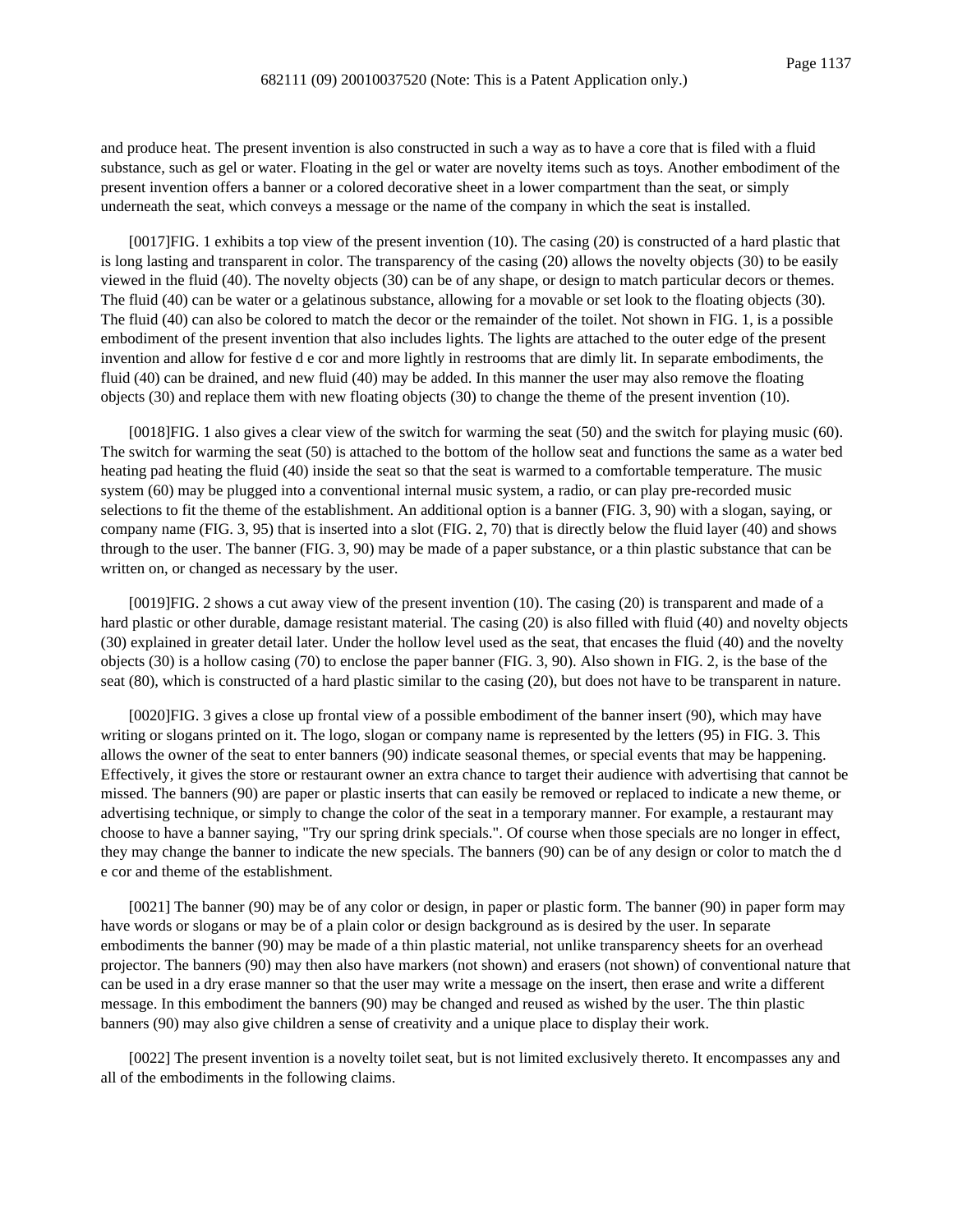and produce heat. The present invention is also constructed in such a way as to have a core that is filed with a fluid substance, such as gel or water. Floating in the gel or water are novelty items such as toys. Another embodiment of the present invention offers a banner or a colored decorative sheet in a lower compartment than the seat, or simply underneath the seat, which conveys a message or the name of the company in which the seat is installed.

[0017]FIG. 1 exhibits a top view of the present invention (10). The casing (20) is constructed of a hard plastic that is long lasting and transparent in color. The transparency of the casing (20) allows the novelty objects (30) to be easily viewed in the fluid (40). The novelty objects (30) can be of any shape, or design to match particular decors or themes. The fluid (40) can be water or a gelatinous substance, allowing for a movable or set look to the floating objects (30). The fluid (40) can also be colored to match the decor or the remainder of the toilet. Not shown in FIG. 1, is a possible embodiment of the present invention that also includes lights. The lights are attached to the outer edge of the present invention and allow for festive d e cor and more lightly in restrooms that are dimly lit. In separate embodiments, the fluid (40) can be drained, and new fluid (40) may be added. In this manner the user may also remove the floating objects (30) and replace them with new floating objects (30) to change the theme of the present invention (10).

[0018]FIG. 1 also gives a clear view of the switch for warming the seat (50) and the switch for playing music (60). The switch for warming the seat (50) is attached to the bottom of the hollow seat and functions the same as a water bed heating pad heating the fluid (40) inside the seat so that the seat is warmed to a comfortable temperature. The music system (60) may be plugged into a conventional internal music system, a radio, or can play pre-recorded music selections to fit the theme of the establishment. An additional option is a banner (FIG. 3, 90) with a slogan, saying, or company name (FIG. 3, 95) that is inserted into a slot (FIG. 2, 70) that is directly below the fluid layer (40) and shows through to the user. The banner (FIG. 3, 90) may be made of a paper substance, or a thin plastic substance that can be written on, or changed as necessary by the user.

[0019]FIG. 2 shows a cut away view of the present invention (10). The casing (20) is transparent and made of a hard plastic or other durable, damage resistant material. The casing (20) is also filled with fluid (40) and novelty objects (30) explained in greater detail later. Under the hollow level used as the seat, that encases the fluid (40) and the novelty objects (30) is a hollow casing (70) to enclose the paper banner (FIG. 3, 90). Also shown in FIG. 2, is the base of the seat (80), which is constructed of a hard plastic similar to the casing (20), but does not have to be transparent in nature.

[0020]FIG. 3 gives a close up frontal view of a possible embodiment of the banner insert (90), which may have writing or slogans printed on it. The logo, slogan or company name is represented by the letters (95) in FIG. 3. This allows the owner of the seat to enter banners (90) indicate seasonal themes, or special events that may be happening. Effectively, it gives the store or restaurant owner an extra chance to target their audience with advertising that cannot be missed. The banners (90) are paper or plastic inserts that can easily be removed or replaced to indicate a new theme, or advertising technique, or simply to change the color of the seat in a temporary manner. For example, a restaurant may choose to have a banner saying, "Try our spring drink specials.". Of course when those specials are no longer in effect, they may change the banner to indicate the new specials. The banners (90) can be of any design or color to match the d e cor and theme of the establishment.

[0021] The banner (90) may be of any color or design, in paper or plastic form. The banner (90) in paper form may have words or slogans or may be of a plain color or design background as is desired by the user. In separate embodiments the banner (90) may be made of a thin plastic material, not unlike transparency sheets for an overhead projector. The banners (90) may then also have markers (not shown) and erasers (not shown) of conventional nature that can be used in a dry erase manner so that the user may write a message on the insert, then erase and write a different message. In this embodiment the banners (90) may be changed and reused as wished by the user. The thin plastic banners (90) may also give children a sense of creativity and a unique place to display their work.

[0022] The present invention is a novelty toilet seat, but is not limited exclusively thereto. It encompasses any and all of the embodiments in the following claims.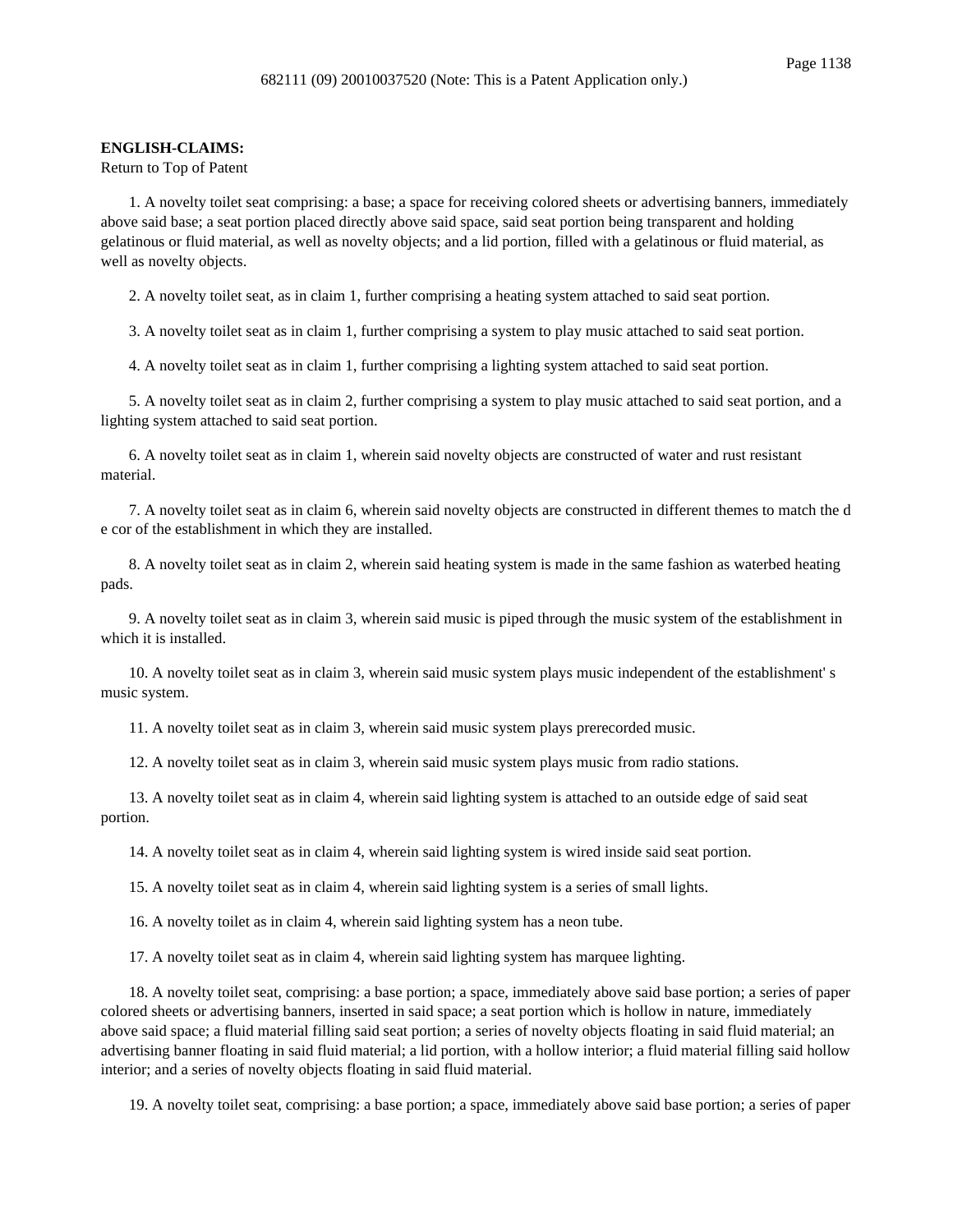#### **ENGLISH-CLAIMS:**

Return to Top of Patent

1. A novelty toilet seat comprising: a base; a space for receiving colored sheets or advertising banners, immediately above said base; a seat portion placed directly above said space, said seat portion being transparent and holding gelatinous or fluid material, as well as novelty objects; and a lid portion, filled with a gelatinous or fluid material, as well as novelty objects.

2. A novelty toilet seat, as in claim 1, further comprising a heating system attached to said seat portion.

3. A novelty toilet seat as in claim 1, further comprising a system to play music attached to said seat portion.

4. A novelty toilet seat as in claim 1, further comprising a lighting system attached to said seat portion.

5. A novelty toilet seat as in claim 2, further comprising a system to play music attached to said seat portion, and a lighting system attached to said seat portion.

6. A novelty toilet seat as in claim 1, wherein said novelty objects are constructed of water and rust resistant material.

7. A novelty toilet seat as in claim 6, wherein said novelty objects are constructed in different themes to match the d e cor of the establishment in which they are installed.

8. A novelty toilet seat as in claim 2, wherein said heating system is made in the same fashion as waterbed heating pads.

9. A novelty toilet seat as in claim 3, wherein said music is piped through the music system of the establishment in which it is installed.

10. A novelty toilet seat as in claim 3, wherein said music system plays music independent of the establishment' s music system.

11. A novelty toilet seat as in claim 3, wherein said music system plays prerecorded music.

12. A novelty toilet seat as in claim 3, wherein said music system plays music from radio stations.

13. A novelty toilet seat as in claim 4, wherein said lighting system is attached to an outside edge of said seat portion.

14. A novelty toilet seat as in claim 4, wherein said lighting system is wired inside said seat portion.

15. A novelty toilet seat as in claim 4, wherein said lighting system is a series of small lights.

16. A novelty toilet as in claim 4, wherein said lighting system has a neon tube.

17. A novelty toilet seat as in claim 4, wherein said lighting system has marquee lighting.

18. A novelty toilet seat, comprising: a base portion; a space, immediately above said base portion; a series of paper colored sheets or advertising banners, inserted in said space; a seat portion which is hollow in nature, immediately above said space; a fluid material filling said seat portion; a series of novelty objects floating in said fluid material; an advertising banner floating in said fluid material; a lid portion, with a hollow interior; a fluid material filling said hollow interior; and a series of novelty objects floating in said fluid material.

19. A novelty toilet seat, comprising: a base portion; a space, immediately above said base portion; a series of paper